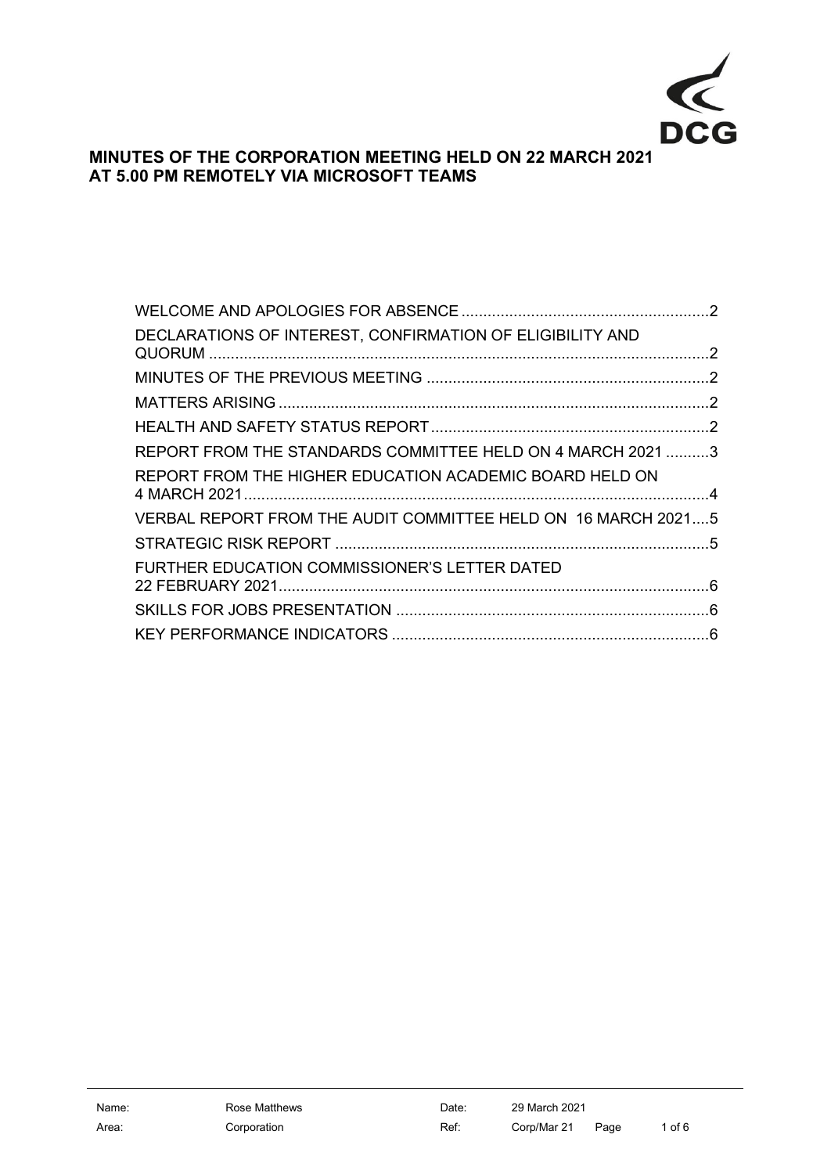

# **MINUTES OF THE CORPORATION MEETING HELD ON 22 MARCH 2021 AT 5.00 PM REMOTELY VIA MICROSOFT TEAMS**

| DECLARATIONS OF INTEREST, CONFIRMATION OF ELIGIBILITY AND     |  |
|---------------------------------------------------------------|--|
|                                                               |  |
|                                                               |  |
|                                                               |  |
| REPORT FROM THE STANDARDS COMMITTEE HELD ON 4 MARCH 2021 3    |  |
| REPORT FROM THE HIGHER EDUCATION ACADEMIC BOARD HELD ON       |  |
| VERBAL REPORT FROM THE AUDIT COMMITTEE HELD ON 16 MARCH 20215 |  |
|                                                               |  |
| FURTHER EDUCATION COMMISSIONER'S LETTER DATED                 |  |
|                                                               |  |
|                                                               |  |
|                                                               |  |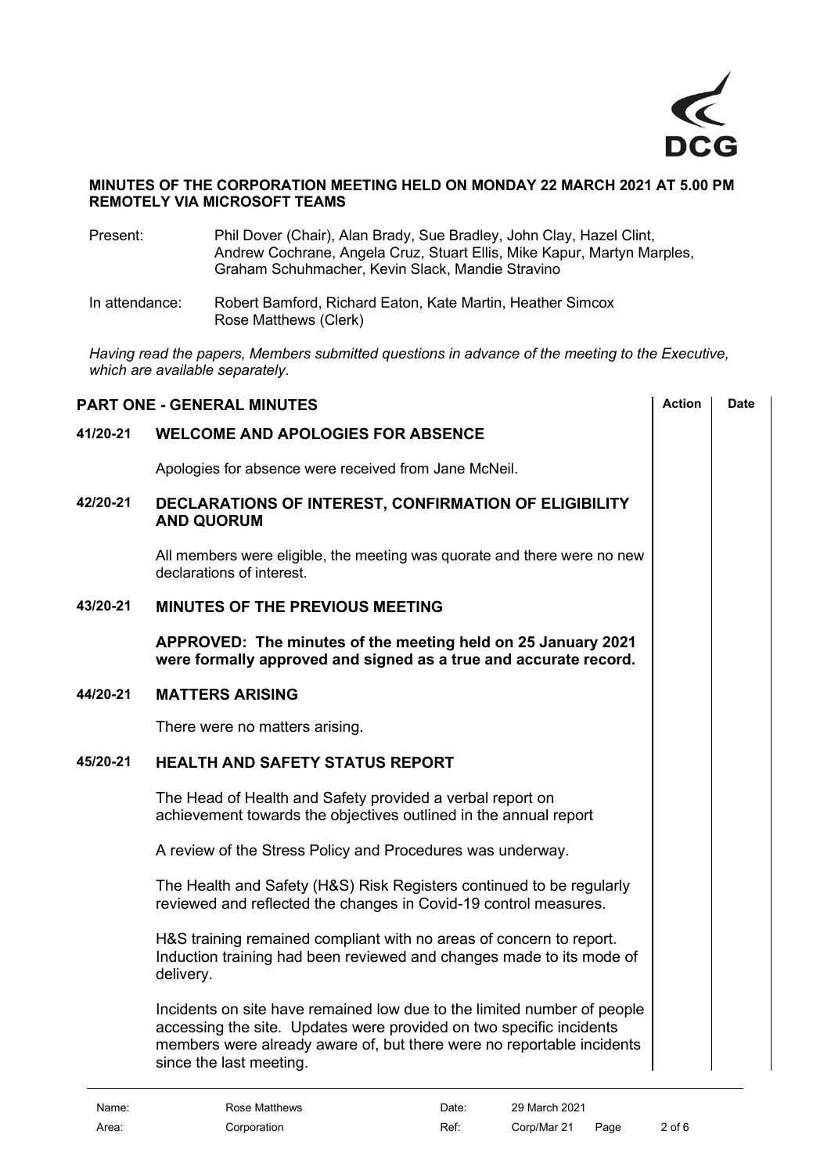

#### **MINUTES OF THE CORPORATION MEETING HELD ON MONDAY 22 MARCH 2021 AT 5.00 PM REMOTELY VIA MICROSOFT TEAMS**

- Present: Phil Dover (Chair), Alan Brady, Sue Bradley, John Clay, Hazel Clint, Andrew Cochrane, Angela Cruz, Stuart Ellis, Mike Kapur, Martyn Marples, Graham Schuhmacher, Kevin Slack, Mandie Stravino
- In attendance: Robert Bamford, Richard Eaton, Kate Martin, Heather Simcox Rose Matthews (Clerk)

*Having read the papers, Members submitted questions in advance of the meeting to the Executive, which are available separately.*

<span id="page-1-4"></span><span id="page-1-3"></span><span id="page-1-2"></span><span id="page-1-1"></span><span id="page-1-0"></span>

| <b>PART ONE - GENERAL MINUTES</b> |                                                                                                                                                                                                                                                    |  | <b>Date</b> |
|-----------------------------------|----------------------------------------------------------------------------------------------------------------------------------------------------------------------------------------------------------------------------------------------------|--|-------------|
| 41/20-21                          | <b>WELCOME AND APOLOGIES FOR ABSENCE</b>                                                                                                                                                                                                           |  |             |
|                                   | Apologies for absence were received from Jane McNeil.                                                                                                                                                                                              |  |             |
| 42/20-21                          | DECLARATIONS OF INTEREST, CONFIRMATION OF ELIGIBILITY<br><b>AND QUORUM</b>                                                                                                                                                                         |  |             |
|                                   | All members were eligible, the meeting was quorate and there were no new<br>declarations of interest.                                                                                                                                              |  |             |
| 43/20-21                          | <b>MINUTES OF THE PREVIOUS MEETING</b>                                                                                                                                                                                                             |  |             |
|                                   | APPROVED: The minutes of the meeting held on 25 January 2021<br>were formally approved and signed as a true and accurate record.                                                                                                                   |  |             |
| 44/20-21                          | <b>MATTERS ARISING</b>                                                                                                                                                                                                                             |  |             |
|                                   | There were no matters arising.                                                                                                                                                                                                                     |  |             |
| 45/20-21                          | <b>HEALTH AND SAFETY STATUS REPORT</b>                                                                                                                                                                                                             |  |             |
|                                   | The Head of Health and Safety provided a verbal report on<br>achievement towards the objectives outlined in the annual report                                                                                                                      |  |             |
|                                   | A review of the Stress Policy and Procedures was underway.                                                                                                                                                                                         |  |             |
|                                   | The Health and Safety (H&S) Risk Registers continued to be regularly<br>reviewed and reflected the changes in Covid-19 control measures.                                                                                                           |  |             |
|                                   | H&S training remained compliant with no areas of concern to report.<br>Induction training had been reviewed and changes made to its mode of<br>delivery.                                                                                           |  |             |
|                                   | Incidents on site have remained low due to the limited number of people<br>accessing the site. Updates were provided on two specific incidents<br>members were already aware of, but there were no reportable incidents<br>since the last meeting. |  |             |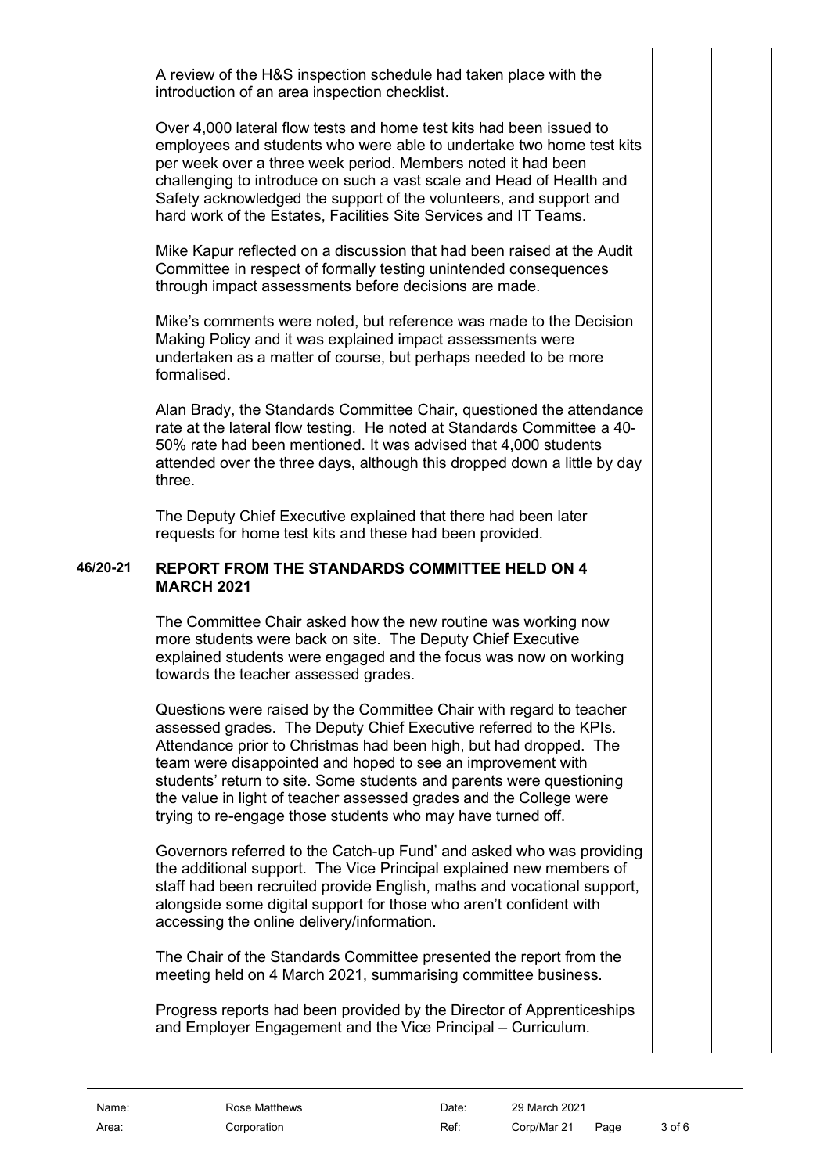A review of the H&S inspection schedule had taken place with the introduction of an area inspection checklist.

Over 4,000 lateral flow tests and home test kits had been issued to employees and students who were able to undertake two home test kits per week over a three week period. Members noted it had been challenging to introduce on such a vast scale and Head of Health and Safety acknowledged the support of the volunteers, and support and hard work of the Estates, Facilities Site Services and IT Teams.

Mike Kapur reflected on a discussion that had been raised at the Audit Committee in respect of formally testing unintended consequences through impact assessments before decisions are made.

Mike's comments were noted, but reference was made to the Decision Making Policy and it was explained impact assessments were undertaken as a matter of course, but perhaps needed to be more formalised.

Alan Brady, the Standards Committee Chair, questioned the attendance rate at the lateral flow testing. He noted at Standards Committee a 40- 50% rate had been mentioned. It was advised that 4,000 students attended over the three days, although this dropped down a little by day three.

<span id="page-2-0"></span>The Deputy Chief Executive explained that there had been later requests for home test kits and these had been provided.

#### **46/20-21 REPORT FROM THE STANDARDS COMMITTEE HELD ON 4 MARCH 2021**

The Committee Chair asked how the new routine was working now more students were back on site. The Deputy Chief Executive explained students were engaged and the focus was now on working towards the teacher assessed grades.

Questions were raised by the Committee Chair with regard to teacher assessed grades. The Deputy Chief Executive referred to the KPIs. Attendance prior to Christmas had been high, but had dropped. The team were disappointed and hoped to see an improvement with students' return to site. Some students and parents were questioning the value in light of teacher assessed grades and the College were trying to re-engage those students who may have turned off.

Governors referred to the Catch-up Fund' and asked who was providing the additional support. The Vice Principal explained new members of staff had been recruited provide English, maths and vocational support, alongside some digital support for those who aren't confident with accessing the online delivery/information.

The Chair of the Standards Committee presented the report from the meeting held on 4 March 2021, summarising committee business.

Progress reports had been provided by the Director of Apprenticeships and Employer Engagement and the Vice Principal – Curriculum.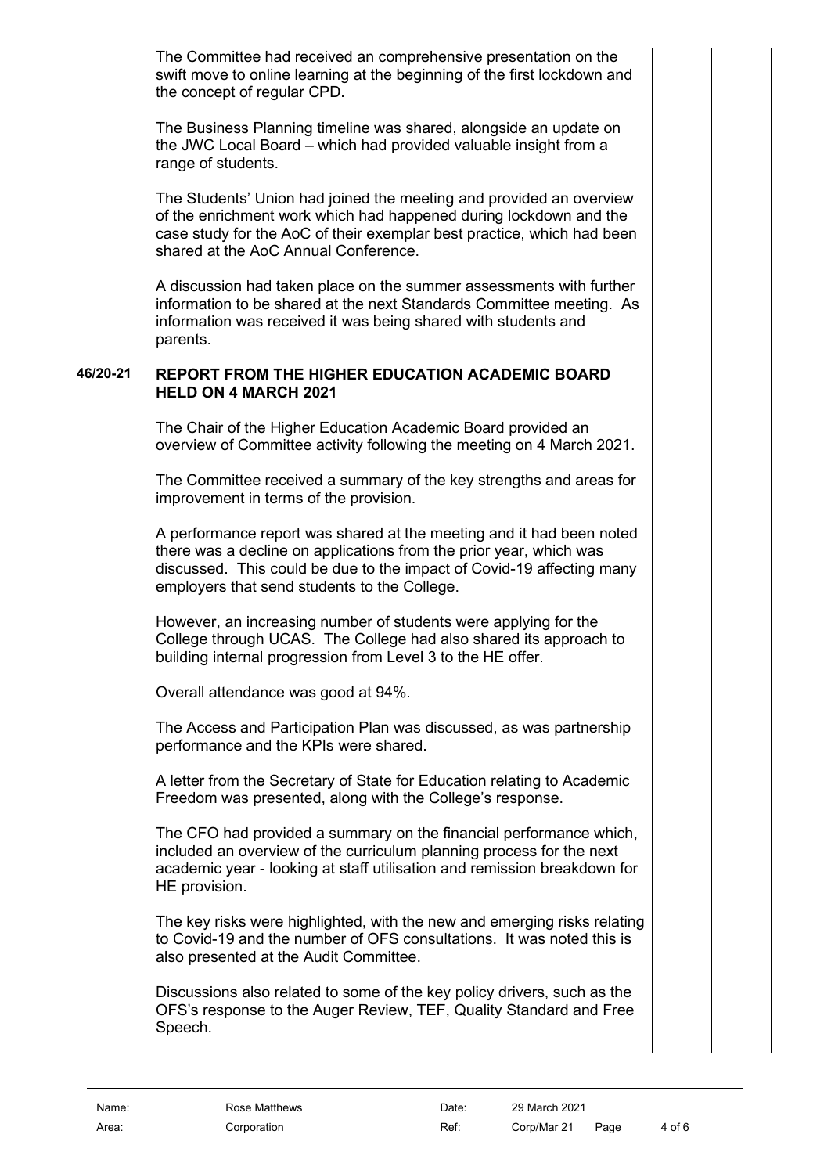The Committee had received an comprehensive presentation on the swift move to online learning at the beginning of the first lockdown and the concept of regular CPD.

The Business Planning timeline was shared, alongside an update on the JWC Local Board – which had provided valuable insight from a range of students.

The Students' Union had joined the meeting and provided an overview of the enrichment work which had happened during lockdown and the case study for the AoC of their exemplar best practice, which had been shared at the AoC Annual Conference.

A discussion had taken place on the summer assessments with further information to be shared at the next Standards Committee meeting. As information was received it was being shared with students and parents.

#### **46/20-21 REPORT FROM THE HIGHER EDUCATION ACADEMIC BOARD HELD ON 4 MARCH 2021**

<span id="page-3-0"></span>The Chair of the Higher Education Academic Board provided an overview of Committee activity following the meeting on 4 March 2021.

The Committee received a summary of the key strengths and areas for improvement in terms of the provision.

A performance report was shared at the meeting and it had been noted there was a decline on applications from the prior year, which was discussed. This could be due to the impact of Covid-19 affecting many employers that send students to the College.

However, an increasing number of students were applying for the College through UCAS. The College had also shared its approach to building internal progression from Level 3 to the HE offer.

Overall attendance was good at 94%.

The Access and Participation Plan was discussed, as was partnership performance and the KPIs were shared.

A letter from the Secretary of State for Education relating to Academic Freedom was presented, along with the College's response.

The CFO had provided a summary on the financial performance which, included an overview of the curriculum planning process for the next academic year - looking at staff utilisation and remission breakdown for HE provision.

The key risks were highlighted, with the new and emerging risks relating to Covid-19 and the number of OFS consultations. It was noted this is also presented at the Audit Committee.

Discussions also related to some of the key policy drivers, such as the OFS's response to the Auger Review, TEF, Quality Standard and Free Speech.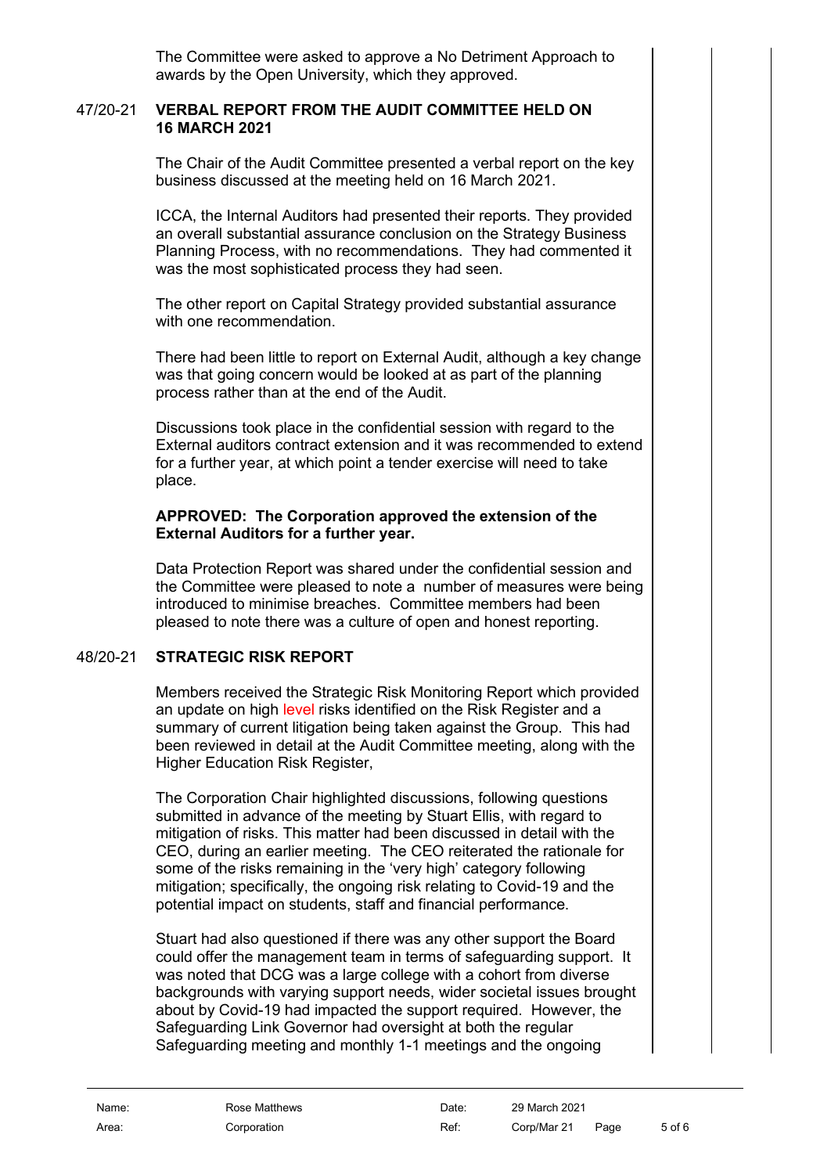The Committee were asked to approve a No Detriment Approach to awards by the Open University, which they approved.

### 47/20-21 **VERBAL REPORT FROM THE AUDIT COMMITTEE HELD ON 16 MARCH 2021**

<span id="page-4-0"></span>The Chair of the Audit Committee presented a verbal report on the key business discussed at the meeting held on 16 March 2021.

ICCA, the Internal Auditors had presented their reports. They provided an overall substantial assurance conclusion on the Strategy Business Planning Process, with no recommendations. They had commented it was the most sophisticated process they had seen.

The other report on Capital Strategy provided substantial assurance with one recommendation.

There had been little to report on External Audit, although a key change was that going concern would be looked at as part of the planning process rather than at the end of the Audit.

Discussions took place in the confidential session with regard to the External auditors contract extension and it was recommended to extend for a further year, at which point a tender exercise will need to take place.

### **APPROVED: The Corporation approved the extension of the External Auditors for a further year.**

Data Protection Report was shared under the confidential session and the Committee were pleased to note a number of measures were being introduced to minimise breaches. Committee members had been pleased to note there was a culture of open and honest reporting.

# 48/20-21 **STRATEGIC RISK REPORT**

<span id="page-4-1"></span>Members received the Strategic Risk Monitoring Report which provided an update on high level risks identified on the Risk Register and a summary of current litigation being taken against the Group. This had been reviewed in detail at the Audit Committee meeting, along with the Higher Education Risk Register,

The Corporation Chair highlighted discussions, following questions submitted in advance of the meeting by Stuart Ellis, with regard to mitigation of risks. This matter had been discussed in detail with the CEO, during an earlier meeting. The CEO reiterated the rationale for some of the risks remaining in the 'very high' category following mitigation; specifically, the ongoing risk relating to Covid-19 and the potential impact on students, staff and financial performance.

Stuart had also questioned if there was any other support the Board could offer the management team in terms of safeguarding support. It was noted that DCG was a large college with a cohort from diverse backgrounds with varying support needs, wider societal issues brought about by Covid-19 had impacted the support required. However, the Safeguarding Link Governor had oversight at both the regular Safeguarding meeting and monthly 1-1 meetings and the ongoing